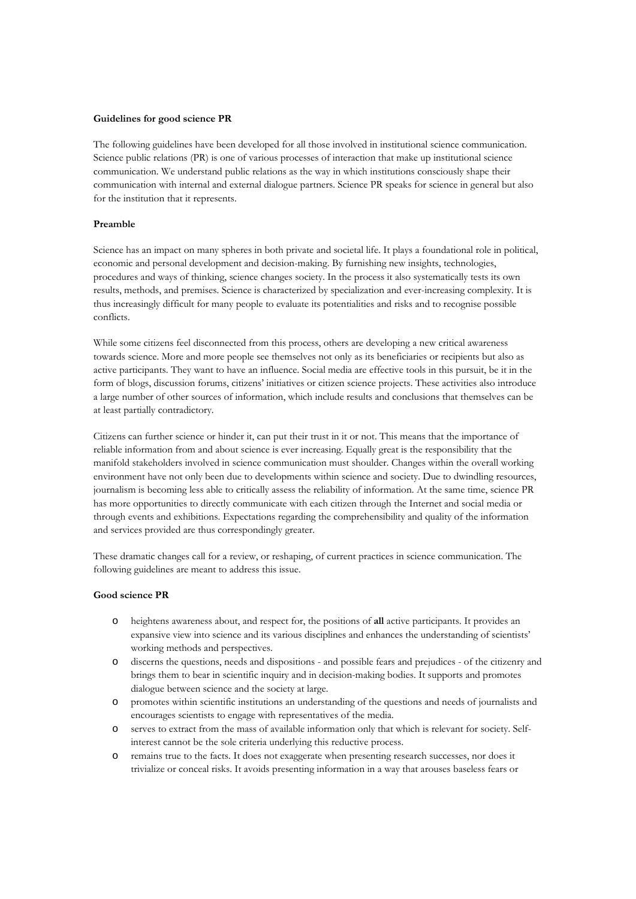## **Guidelines for good science PR**

The following guidelines have been developed for all those involved in institutional science communication. Science public relations (PR) is one of various processes of interaction that make up institutional science communication. We understand public relations as the way in which institutions consciously shape their communication with internal and external dialogue partners. Science PR speaks for science in general but also for the institution that it represents.

## **Preamble**

Science has an impact on many spheres in both private and societal life. It plays a foundational role in political, economic and personal development and decision-making. By furnishing new insights, technologies, procedures and ways of thinking, science changes society. In the process it also systematically tests its own results, methods, and premises. Science is characterized by specialization and ever-increasing complexity. It is thus increasingly difficult for many people to evaluate its potentialities and risks and to recognise possible conflicts.

While some citizens feel disconnected from this process, others are developing a new critical awareness towards science. More and more people see themselves not only as its beneficiaries or recipients but also as active participants. They want to have an influence. Social media are effective tools in this pursuit, be it in the form of blogs, discussion forums, citizens' initiatives or citizen science projects. These activities also introduce a large number of other sources of information, which include results and conclusions that themselves can be at least partially contradictory.

Citizens can further science or hinder it, can put their trust in it or not. This means that the importance of reliable information from and about science is ever increasing. Equally great is the responsibility that the manifold stakeholders involved in science communication must shoulder. Changes within the overall working environment have not only been due to developments within science and society. Due to dwindling resources, journalism is becoming less able to critically assess the reliability of information. At the same time, science PR has more opportunities to directly communicate with each citizen through the Internet and social media or through events and exhibitions. Expectations regarding the comprehensibility and quality of the information and services provided are thus correspondingly greater.

These dramatic changes call for a review, or reshaping, of current practices in science communication. The following guidelines are meant to address this issue.

## **Good science PR**

- o heightens awareness about, and respect for, the positions of **all** active participants. It provides an expansive view into science and its various disciplines and enhances the understanding of scientists' working methods and perspectives.
- o discerns the questions, needs and dispositions and possible fears and prejudices of the citizenry and brings them to bear in scientific inquiry and in decision-making bodies. It supports and promotes dialogue between science and the society at large.
- o promotes within scientific institutions an understanding of the questions and needs of journalists and encourages scientists to engage with representatives of the media.
- o serves to extract from the mass of available information only that which is relevant for society. Selfinterest cannot be the sole criteria underlying this reductive process.
- o remains true to the facts. It does not exaggerate when presenting research successes, nor does it trivialize or conceal risks. It avoids presenting information in a way that arouses baseless fears or